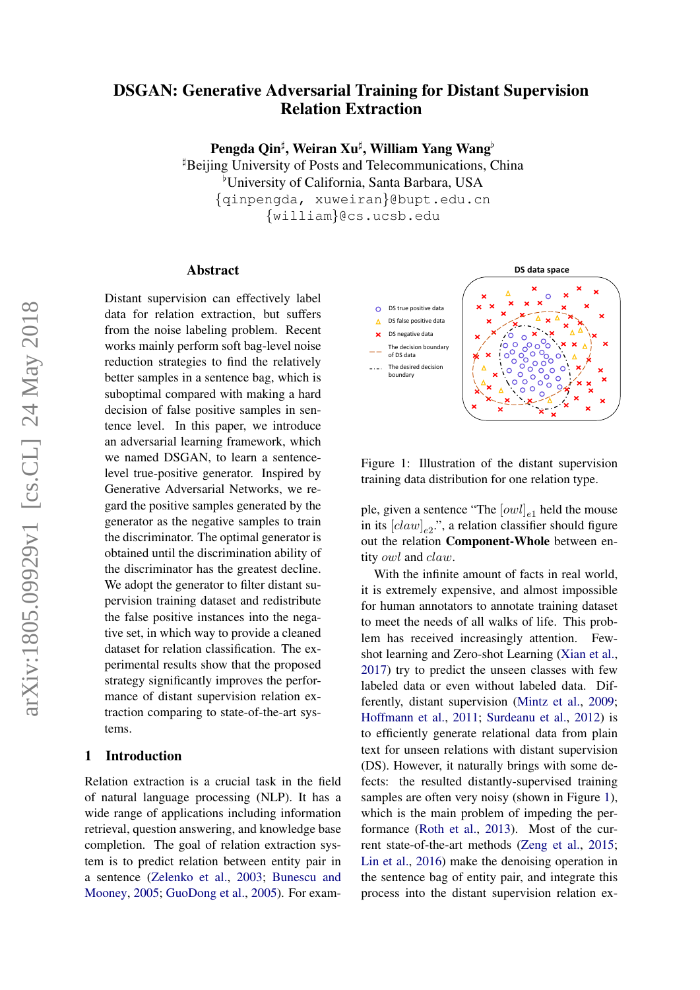# DSGAN: Generative Adversarial Training for Distant Supervision Relation Extraction

Pengda Qin<sup>‡</sup>, Weiran Xu‡, William Yang Wang<sup>b</sup>

 $\mu$ Beijing University of Posts and Telecommunications, China <sup>b</sup>University of California, Santa Barbara, USA {qinpengda, xuweiran}@bupt.edu.cn {william}@cs.ucsb.edu

#### Abstract

Distant supervision can effectively label data for relation extraction, but suffers from the noise labeling problem. Recent works mainly perform soft bag-level noise reduction strategies to find the relatively better samples in a sentence bag, which is suboptimal compared with making a hard decision of false positive samples in sentence level. In this paper, we introduce an adversarial learning framework, which we named DSGAN, to learn a sentencelevel true-positive generator. Inspired by Generative Adversarial Networks, we regard the positive samples generated by the generator as the negative samples to train the discriminator. The optimal generator is obtained until the discrimination ability of the discriminator has the greatest decline. We adopt the generator to filter distant supervision training dataset and redistribute the false positive instances into the negative set, in which way to provide a cleaned dataset for relation classification. The experimental results show that the proposed strategy significantly improves the performance of distant supervision relation extraction comparing to state-of-the-art systems.

#### <span id="page-0-1"></span>1 Introduction

Relation extraction is a crucial task in the field of natural language processing (NLP). It has a wide range of applications including information retrieval, question answering, and knowledge base completion. The goal of relation extraction system is to predict relation between entity pair in a sentence [\(Zelenko et al.,](#page-9-0) [2003;](#page-9-0) [Bunescu and](#page-8-0) [Mooney,](#page-8-0) [2005;](#page-8-0) [GuoDong et al.,](#page-8-1) [2005\)](#page-8-1). For exam-



<span id="page-0-0"></span>Figure 1: Illustration of the distant supervision training data distribution for one relation type.

ple, given a sentence "The  $[owl]_{e1}$  held the mouse in its  $[claw]_{e2}$ ", a relation classifier should figure out the relation Component-Whole between entity owl and claw.

With the infinite amount of facts in real world, it is extremely expensive, and almost impossible for human annotators to annotate training dataset to meet the needs of all walks of life. This problem has received increasingly attention. Fewshot learning and Zero-shot Learning [\(Xian et al.,](#page-9-1) [2017\)](#page-9-1) try to predict the unseen classes with few labeled data or even without labeled data. Differently, distant supervision [\(Mintz et al.,](#page-9-2) [2009;](#page-9-2) [Hoffmann et al.,](#page-8-2) [2011;](#page-8-2) [Surdeanu et al.,](#page-9-3) [2012\)](#page-9-3) is to efficiently generate relational data from plain text for unseen relations with distant supervision (DS). However, it naturally brings with some defects: the resulted distantly-supervised training samples are often very noisy (shown in Figure [1\)](#page-0-0), which is the main problem of impeding the performance [\(Roth et al.,](#page-9-4) [2013\)](#page-9-4). Most of the current state-of-the-art methods [\(Zeng et al.,](#page-9-5) [2015;](#page-9-5) [Lin et al.,](#page-8-3) [2016\)](#page-8-3) make the denoising operation in the sentence bag of entity pair, and integrate this process into the distant supervision relation ex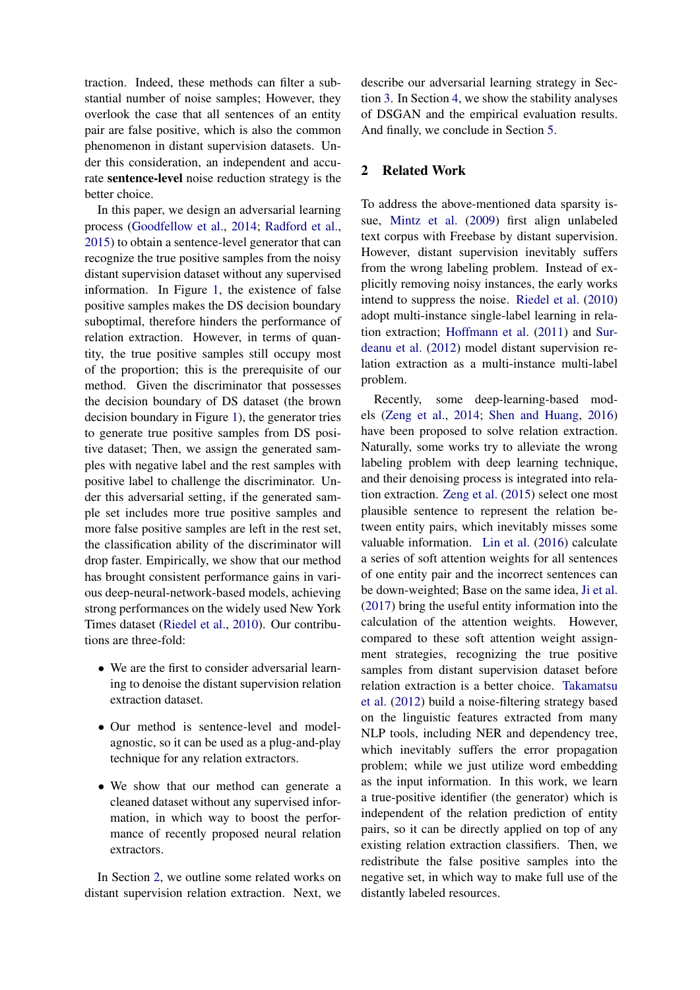traction. Indeed, these methods can filter a substantial number of noise samples; However, they overlook the case that all sentences of an entity pair are false positive, which is also the common phenomenon in distant supervision datasets. Under this consideration, an independent and accurate sentence-level noise reduction strategy is the better choice.

In this paper, we design an adversarial learning process [\(Goodfellow et al.,](#page-8-4) [2014;](#page-8-4) [Radford et al.,](#page-9-6) [2015\)](#page-9-6) to obtain a sentence-level generator that can recognize the true positive samples from the noisy distant supervision dataset without any supervised information. In Figure [1,](#page-0-0) the existence of false positive samples makes the DS decision boundary suboptimal, therefore hinders the performance of relation extraction. However, in terms of quantity, the true positive samples still occupy most of the proportion; this is the prerequisite of our method. Given the discriminator that possesses the decision boundary of DS dataset (the brown decision boundary in Figure [1\)](#page-0-0), the generator tries to generate true positive samples from DS positive dataset; Then, we assign the generated samples with negative label and the rest samples with positive label to challenge the discriminator. Under this adversarial setting, if the generated sample set includes more true positive samples and more false positive samples are left in the rest set, the classification ability of the discriminator will drop faster. Empirically, we show that our method has brought consistent performance gains in various deep-neural-network-based models, achieving strong performances on the widely used New York Times dataset [\(Riedel et al.,](#page-9-7) [2010\)](#page-9-7). Our contributions are three-fold:

- We are the first to consider adversarial learning to denoise the distant supervision relation extraction dataset.
- Our method is sentence-level and modelagnostic, so it can be used as a plug-and-play technique for any relation extractors.
- We show that our method can generate a cleaned dataset without any supervised information, in which way to boost the performance of recently proposed neural relation extractors.

In Section [2,](#page-1-0) we outline some related works on distant supervision relation extraction. Next, we describe our adversarial learning strategy in Section [3.](#page-2-0) In Section [4,](#page-5-0) we show the stability analyses of DSGAN and the empirical evaluation results. And finally, we conclude in Section [5.](#page-8-5)

# <span id="page-1-0"></span>2 Related Work

To address the above-mentioned data sparsity issue, [Mintz et al.](#page-9-2) [\(2009\)](#page-9-2) first align unlabeled text corpus with Freebase by distant supervision. However, distant supervision inevitably suffers from the wrong labeling problem. Instead of explicitly removing noisy instances, the early works intend to suppress the noise. [Riedel et al.](#page-9-7) [\(2010\)](#page-9-7) adopt multi-instance single-label learning in relation extraction; [Hoffmann et al.](#page-8-2) [\(2011\)](#page-8-2) and [Sur](#page-9-3)[deanu et al.](#page-9-3) [\(2012\)](#page-9-3) model distant supervision relation extraction as a multi-instance multi-label problem.

Recently, some deep-learning-based models [\(Zeng et al.,](#page-9-8) [2014;](#page-9-8) [Shen and Huang,](#page-9-9) [2016\)](#page-9-9) have been proposed to solve relation extraction. Naturally, some works try to alleviate the wrong labeling problem with deep learning technique, and their denoising process is integrated into relation extraction. [Zeng et al.](#page-9-5) [\(2015\)](#page-9-5) select one most plausible sentence to represent the relation between entity pairs, which inevitably misses some valuable information. [Lin et al.](#page-8-3) [\(2016\)](#page-8-3) calculate a series of soft attention weights for all sentences of one entity pair and the incorrect sentences can be down-weighted; Base on the same idea, [Ji et al.](#page-8-6) [\(2017\)](#page-8-6) bring the useful entity information into the calculation of the attention weights. However, compared to these soft attention weight assignment strategies, recognizing the true positive samples from distant supervision dataset before relation extraction is a better choice. [Takamatsu](#page-9-10) [et al.](#page-9-10) [\(2012\)](#page-9-10) build a noise-filtering strategy based on the linguistic features extracted from many NLP tools, including NER and dependency tree, which inevitably suffers the error propagation problem; while we just utilize word embedding as the input information. In this work, we learn a true-positive identifier (the generator) which is independent of the relation prediction of entity pairs, so it can be directly applied on top of any existing relation extraction classifiers. Then, we redistribute the false positive samples into the negative set, in which way to make full use of the distantly labeled resources.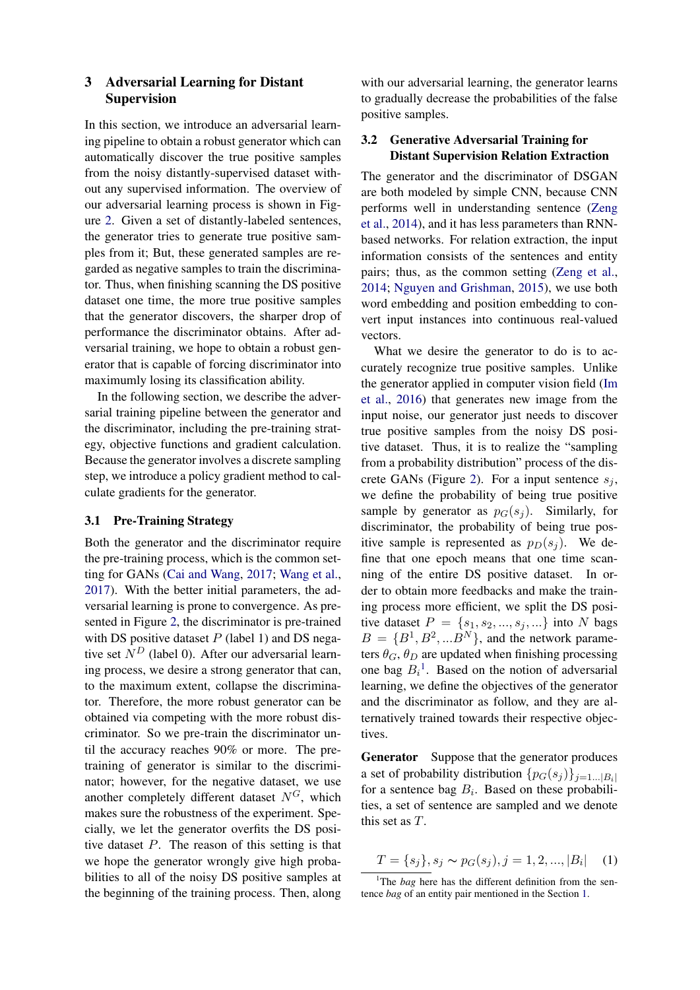# <span id="page-2-0"></span>3 Adversarial Learning for Distant Supervision

In this section, we introduce an adversarial learning pipeline to obtain a robust generator which can automatically discover the true positive samples from the noisy distantly-supervised dataset without any supervised information. The overview of our adversarial learning process is shown in Figure [2.](#page-3-0) Given a set of distantly-labeled sentences, the generator tries to generate true positive samples from it; But, these generated samples are regarded as negative samples to train the discriminator. Thus, when finishing scanning the DS positive dataset one time, the more true positive samples that the generator discovers, the sharper drop of performance the discriminator obtains. After adversarial training, we hope to obtain a robust generator that is capable of forcing discriminator into maximumly losing its classification ability.

In the following section, we describe the adversarial training pipeline between the generator and the discriminator, including the pre-training strategy, objective functions and gradient calculation. Because the generator involves a discrete sampling step, we introduce a policy gradient method to calculate gradients for the generator.

#### 3.1 Pre-Training Strategy

Both the generator and the discriminator require the pre-training process, which is the common setting for GANs [\(Cai and Wang,](#page-8-7) [2017;](#page-8-7) [Wang et al.,](#page-9-11) [2017\)](#page-9-11). With the better initial parameters, the adversarial learning is prone to convergence. As presented in Figure [2,](#page-3-0) the discriminator is pre-trained with DS positive dataset  $P$  (label 1) and DS negative set  $N<sup>D</sup>$  (label 0). After our adversarial learning process, we desire a strong generator that can, to the maximum extent, collapse the discriminator. Therefore, the more robust generator can be obtained via competing with the more robust discriminator. So we pre-train the discriminator until the accuracy reaches 90% or more. The pretraining of generator is similar to the discriminator; however, for the negative dataset, we use another completely different dataset  $N^G$ , which makes sure the robustness of the experiment. Specially, we let the generator overfits the DS positive dataset P. The reason of this setting is that we hope the generator wrongly give high probabilities to all of the noisy DS positive samples at the beginning of the training process. Then, along

with our adversarial learning, the generator learns to gradually decrease the probabilities of the false positive samples.

# 3.2 Generative Adversarial Training for Distant Supervision Relation Extraction

The generator and the discriminator of DSGAN are both modeled by simple CNN, because CNN performs well in understanding sentence [\(Zeng](#page-9-8) [et al.,](#page-9-8) [2014\)](#page-9-8), and it has less parameters than RNNbased networks. For relation extraction, the input information consists of the sentences and entity pairs; thus, as the common setting [\(Zeng et al.,](#page-9-8) [2014;](#page-9-8) [Nguyen and Grishman,](#page-9-12) [2015\)](#page-9-12), we use both word embedding and position embedding to convert input instances into continuous real-valued vectors.

What we desire the generator to do is to accurately recognize true positive samples. Unlike the generator applied in computer vision field [\(Im](#page-8-8) [et al.,](#page-8-8) [2016\)](#page-8-8) that generates new image from the input noise, our generator just needs to discover true positive samples from the noisy DS positive dataset. Thus, it is to realize the "sampling from a probability distribution" process of the dis-crete GANs (Figure [2\)](#page-3-0). For a input sentence  $s_j$ , we define the probability of being true positive sample by generator as  $p_G(s_i)$ . Similarly, for discriminator, the probability of being true positive sample is represented as  $p_D(s_i)$ . We define that one epoch means that one time scanning of the entire DS positive dataset. In order to obtain more feedbacks and make the training process more efficient, we split the DS positive dataset  $P = \{s_1, s_2, ..., s_j, ...\}$  into N bags  $B = \{B^1, B^2, ... B^N\}$ , and the network parameters  $\theta_G$ ,  $\theta_D$  are updated when finishing processing one bag  $B_i^1$  $B_i^1$ . Based on the notion of adversarial learning, we define the objectives of the generator and the discriminator as follow, and they are alternatively trained towards their respective objectives.

Generator Suppose that the generator produces a set of probability distribution  $\{p_G(s_i)\}_{i=1...|B_i|}$ for a sentence bag  $B_i$ . Based on these probabilities, a set of sentence are sampled and we denote this set as T.

$$
T = \{s_j\}, s_j \sim p_G(s_j), j = 1, 2, ..., |B_i| \quad (1)
$$

<span id="page-2-1"></span><sup>&</sup>lt;sup>1</sup>The *bag* here has the different definition from the sentence *bag* of an entity pair mentioned in the Section [1.](#page-0-1)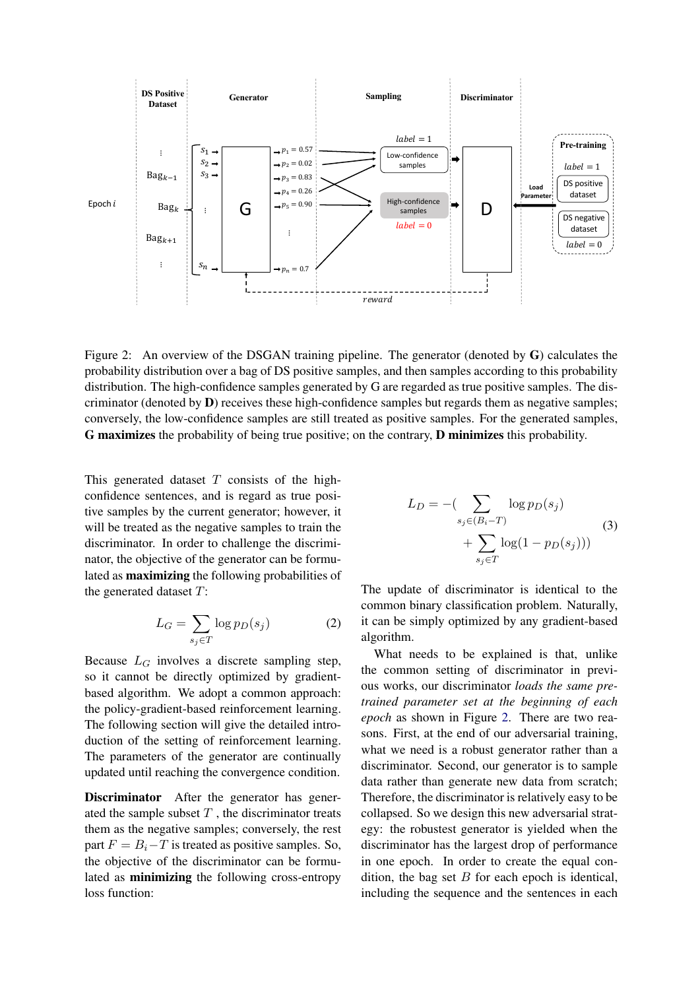

Figure 2: An overview of the DSGAN training pipeline. The generator (denoted by G) calculates the probability distribution over a bag of DS positive samples, and then samples according to this probability distribution. The high-confidence samples generated by G are regarded as true positive samples. The discriminator (denoted by **) receives these high-confidence samples but regards them as negative samples;** conversely, the low-confidence samples are still treated as positive samples. For the generated samples, G maximizes the probability of being true positive; on the contrary, D minimizes this probability.

This generated dataset  $T$  consists of the highconfidence sentences, and is regard as true positive samples by the current generator; however, it will be treated as the negative samples to train the discriminator. In order to challenge the discriminator, the objective of the generator can be formulated as maximizing the following probabilities of the generated dataset  $T$ :

$$
L_G = \sum_{s_j \in T} \log p_D(s_j) \tag{2}
$$

Because  $L_G$  involves a discrete sampling step, so it cannot be directly optimized by gradientbased algorithm. We adopt a common approach: the policy-gradient-based reinforcement learning. The following section will give the detailed introduction of the setting of reinforcement learning. The parameters of the generator are continually updated until reaching the convergence condition.

Discriminator After the generator has generated the sample subset  $T$ , the discriminator treats them as the negative samples; conversely, the rest part  $F = B_i - T$  is treated as positive samples. So, the objective of the discriminator can be formulated as minimizing the following cross-entropy loss function:

<span id="page-3-0"></span>
$$
L_D = -\left(\sum_{s_j \in (B_i - T)} \log p_D(s_j) + \sum_{s_j \in T} \log(1 - p_D(s_j))\right)
$$
\n(3)

The update of discriminator is identical to the common binary classification problem. Naturally, it can be simply optimized by any gradient-based algorithm.

What needs to be explained is that, unlike the common setting of discriminator in previous works, our discriminator *loads the same pretrained parameter set at the beginning of each epoch* as shown in Figure [2.](#page-3-0) There are two reasons. First, at the end of our adversarial training, what we need is a robust generator rather than a discriminator. Second, our generator is to sample data rather than generate new data from scratch; Therefore, the discriminator is relatively easy to be collapsed. So we design this new adversarial strategy: the robustest generator is yielded when the discriminator has the largest drop of performance in one epoch. In order to create the equal condition, the bag set  $B$  for each epoch is identical, including the sequence and the sentences in each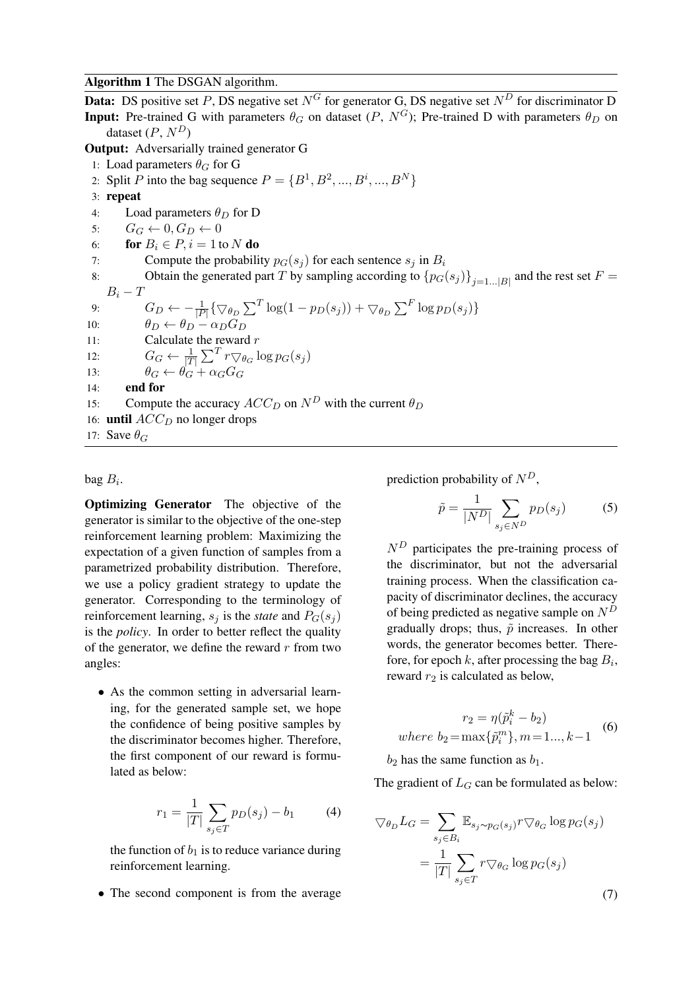#### Algorithm 1 The DSGAN algorithm.

**Data:** DS positive set P, DS negative set  $N^G$  for generator G, DS negative set  $N^D$  for discriminator D **Input:** Pre-trained G with parameters  $\theta_G$  on dataset  $(P, N^G)$ ; Pre-trained D with parameters  $\theta_D$  on dataset  $(P, N^D)$ Output: Adversarially trained generator G 1: Load parameters  $\theta_G$  for G 2: Split *P* into the bag sequence  $P = \{B^1, B^2, ..., B^i, ..., B^N\}$ 3: repeat 4: Load parameters  $\theta_D$  for D 5:  $G_G \leftarrow 0, G_D \leftarrow 0$ 6: **for**  $B_i \in P$ ,  $i = 1$  to N **do** 7: Compute the probability  $p_G(s_i)$  for each sentence  $s_i$  in  $B_i$ 8: Obtain the generated part T by sampling according to  ${p_G(s_j)}_{j=1...|B|}$  and the rest set  $F =$  $B_i-T$ 9:  $G_D \leftarrow -\frac{1}{|P|} \{ \nabla_{\theta_D} \sum^T \log(1 - p_D(s_j)) + \nabla_{\theta_D} \sum^F \log p_D(s_j) \}$ 10:  $\theta_D \leftarrow \theta_D - \alpha_D G_D$ 11: Calculate the reward  $r$ 12:  $G_G \leftarrow \frac{1}{|T|} \sum^T r \nabla_{\theta_G} \log p_G(s_j)$ 13:  $\theta_G \leftarrow \theta_G + \alpha_G G_G$  $14:$  end for 15: Compute the accuracy  $ACC_D$  on  $N^D$  with the current  $\theta_D$ 16: **until**  $ACC_D$  no longer drops 17: Save  $\theta_G$ 

### bag  $B_i$ .

Optimizing Generator The objective of the generator is similar to the objective of the one-step reinforcement learning problem: Maximizing the expectation of a given function of samples from a parametrized probability distribution. Therefore, we use a policy gradient strategy to update the generator. Corresponding to the terminology of reinforcement learning,  $s_i$  is the *state* and  $P_G(s_i)$ is the *policy*. In order to better reflect the quality of the generator, we define the reward  $r$  from two angles:

• As the common setting in adversarial learning, for the generated sample set, we hope the confidence of being positive samples by the discriminator becomes higher. Therefore, the first component of our reward is formulated as below:

$$
r_1 = \frac{1}{|T|} \sum_{s_j \in T} p_D(s_j) - b_1 \tag{4}
$$

the function of  $b_1$  is to reduce variance during reinforcement learning.

• The second component is from the average

prediction probability of  $N^D$ ,

$$
\tilde{p} = \frac{1}{|N^D|} \sum_{s_j \in N^D} p_D(s_j) \tag{5}
$$

 $N<sup>D</sup>$  participates the pre-training process of the discriminator, but not the adversarial training process. When the classification capacity of discriminator declines, the accuracy of being predicted as negative sample on  $N<sup>D</sup>$ gradually drops; thus,  $\tilde{p}$  increases. In other words, the generator becomes better. Therefore, for epoch  $k$ , after processing the bag  $B_i$ , reward  $r_2$  is calculated as below,

$$
r_2 = \eta(\tilde{p}_i^k - b_2)
$$
  
where  $b_2 = \max{\{\tilde{p}_i^m\}}, m = 1..., k-1$  (6)

 $b_2$  has the same function as  $b_1$ .

The gradient of  $L_G$  can be formulated as below:

$$
\nabla_{\theta_D} L_G = \sum_{s_j \in B_i} \mathbb{E}_{s_j \sim p_G(s_j)} r \nabla_{\theta_G} \log p_G(s_j)
$$

$$
= \frac{1}{|T|} \sum_{s_j \in T} r \nabla_{\theta_G} \log p_G(s_j)
$$
(7)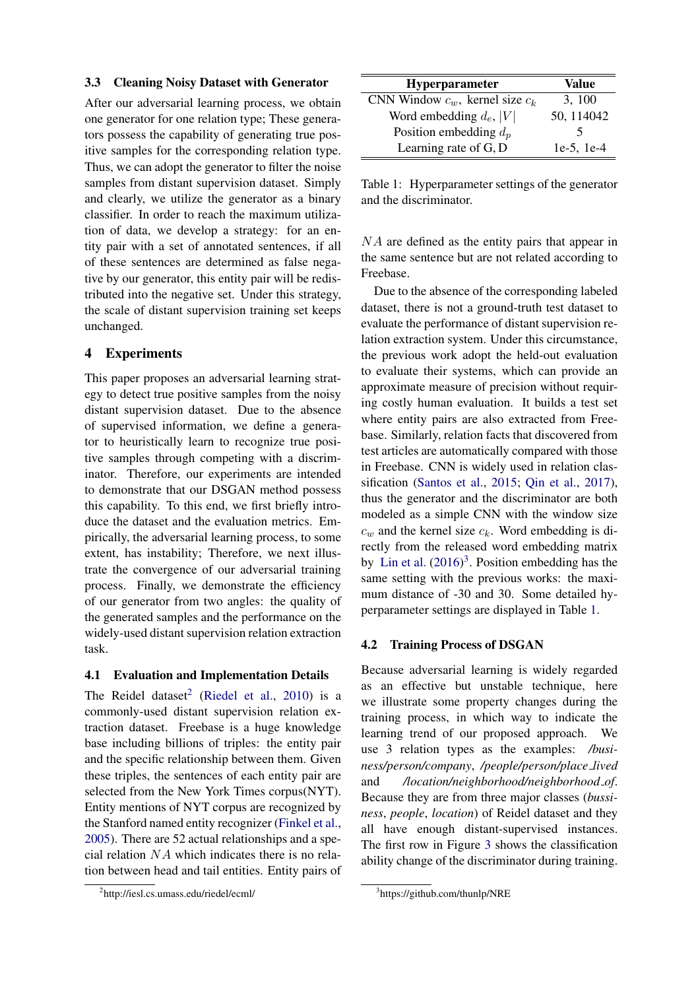#### <span id="page-5-4"></span>3.3 Cleaning Noisy Dataset with Generator

After our adversarial learning process, we obtain one generator for one relation type; These generators possess the capability of generating true positive samples for the corresponding relation type. Thus, we can adopt the generator to filter the noise samples from distant supervision dataset. Simply and clearly, we utilize the generator as a binary classifier. In order to reach the maximum utilization of data, we develop a strategy: for an entity pair with a set of annotated sentences, if all of these sentences are determined as false negative by our generator, this entity pair will be redistributed into the negative set. Under this strategy, the scale of distant supervision training set keeps unchanged.

# <span id="page-5-0"></span>4 Experiments

This paper proposes an adversarial learning strategy to detect true positive samples from the noisy distant supervision dataset. Due to the absence of supervised information, we define a generator to heuristically learn to recognize true positive samples through competing with a discriminator. Therefore, our experiments are intended to demonstrate that our DSGAN method possess this capability. To this end, we first briefly introduce the dataset and the evaluation metrics. Empirically, the adversarial learning process, to some extent, has instability; Therefore, we next illustrate the convergence of our adversarial training process. Finally, we demonstrate the efficiency of our generator from two angles: the quality of the generated samples and the performance on the widely-used distant supervision relation extraction task.

#### 4.1 Evaluation and Implementation Details

The Reidel dataset<sup>[2](#page-5-1)</sup> [\(Riedel et al.,](#page-9-7) [2010\)](#page-9-7) is a commonly-used distant supervision relation extraction dataset. Freebase is a huge knowledge base including billions of triples: the entity pair and the specific relationship between them. Given these triples, the sentences of each entity pair are selected from the New York Times corpus(NYT). Entity mentions of NYT corpus are recognized by the Stanford named entity recognizer [\(Finkel et al.,](#page-8-9) [2005\)](#page-8-9). There are 52 actual relationships and a special relation  $NA$  which indicates there is no relation between head and tail entities. Entity pairs of

| Hyperparameter                       | Value           |
|--------------------------------------|-----------------|
| CNN Window $c_w$ , kernel size $c_k$ | 3, 100          |
| Word embedding $d_e$ ,  V            | 50, 114042      |
| Position embedding $d_p$             | ↖               |
| Learning rate of G, D                | $1e-5$ , $1e-4$ |

<span id="page-5-3"></span>Table 1: Hyperparameter settings of the generator and the discriminator.

NA are defined as the entity pairs that appear in the same sentence but are not related according to Freebase.

Due to the absence of the corresponding labeled dataset, there is not a ground-truth test dataset to evaluate the performance of distant supervision relation extraction system. Under this circumstance, the previous work adopt the held-out evaluation to evaluate their systems, which can provide an approximate measure of precision without requiring costly human evaluation. It builds a test set where entity pairs are also extracted from Freebase. Similarly, relation facts that discovered from test articles are automatically compared with those in Freebase. CNN is widely used in relation classification [\(Santos et al.,](#page-9-13) [2015;](#page-9-13) [Qin et al.,](#page-9-14) [2017\)](#page-9-14), thus the generator and the discriminator are both modeled as a simple CNN with the window size  $c_w$  and the kernel size  $c_k$ . Word embedding is directly from the released word embedding matrix by [Lin et al.](#page-8-3)  $(2016)^3$  $(2016)^3$  $(2016)^3$ . Position embedding has the same setting with the previous works: the maximum distance of -30 and 30. Some detailed hyperparameter settings are displayed in Table [1.](#page-5-3)

# 4.2 Training Process of DSGAN

Because adversarial learning is widely regarded as an effective but unstable technique, here we illustrate some property changes during the training process, in which way to indicate the learning trend of our proposed approach. We use 3 relation types as the examples: */business/person/company*, */people/person/place lived* and */location/neighborhood/neighborhood of*. Because they are from three major classes (*bussiness*, *people*, *location*) of Reidel dataset and they all have enough distant-supervised instances. The first row in Figure [3](#page-6-0) shows the classification ability change of the discriminator during training.

<span id="page-5-1"></span><sup>2</sup> http://iesl.cs.umass.edu/riedel/ecml/

<span id="page-5-2"></span><sup>3</sup> https://github.com/thunlp/NRE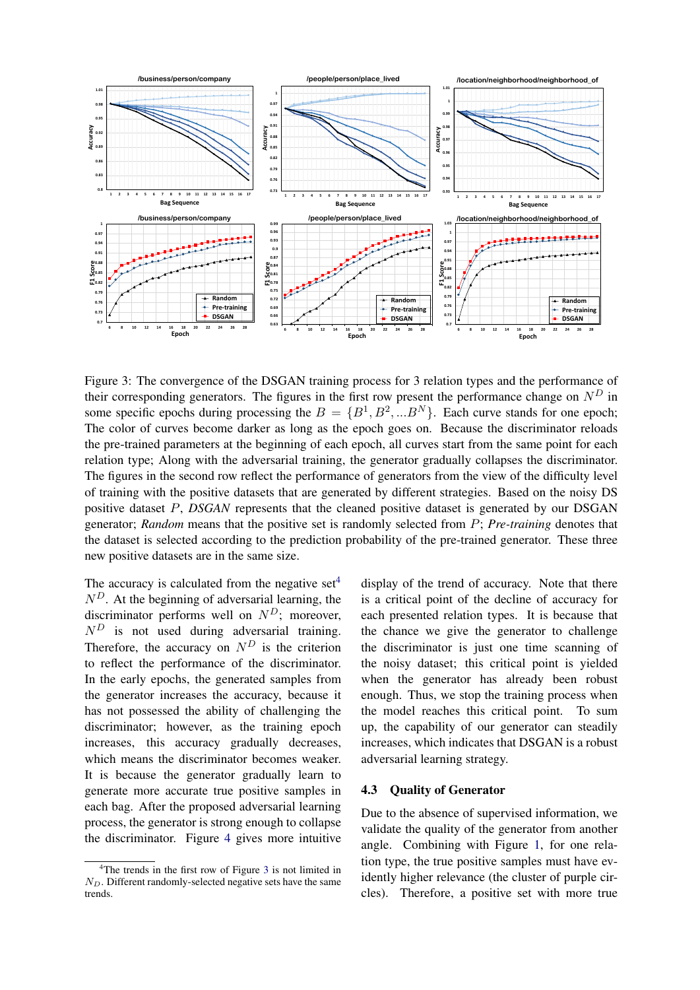

Figure 3: The convergence of the DSGAN training process for 3 relation types and the performance of their corresponding generators. The figures in the first row present the performance change on  $N<sup>D</sup>$  in some specific epochs during processing the  $B = \{B^1, B^2, ...B^N\}$ . Each curve stands for one epoch; The color of curves become darker as long as the epoch goes on. Because the discriminator reloads the pre-trained parameters at the beginning of each epoch, all curves start from the same point for each relation type; Along with the adversarial training, the generator gradually collapses the discriminator. The figures in the second row reflect the performance of generators from the view of the difficulty level of training with the positive datasets that are generated by different strategies. Based on the noisy DS positive dataset P, *DSGAN* represents that the cleaned positive dataset is generated by our DSGAN generator; *Random* means that the positive set is randomly selected from P; *Pre-training* denotes that the dataset is selected according to the prediction probability of the pre-trained generator. These three new positive datasets are in the same size.

The accuracy is calculated from the negative set<sup>[4](#page-6-1)</sup>  $N<sup>D</sup>$ . At the beginning of adversarial learning, the discriminator performs well on  $N<sup>D</sup>$ ; moreover,  $N<sup>D</sup>$  is not used during adversarial training. Therefore, the accuracy on  $N<sup>D</sup>$  is the criterion to reflect the performance of the discriminator. In the early epochs, the generated samples from the generator increases the accuracy, because it has not possessed the ability of challenging the discriminator; however, as the training epoch increases, this accuracy gradually decreases, which means the discriminator becomes weaker. It is because the generator gradually learn to generate more accurate true positive samples in each bag. After the proposed adversarial learning process, the generator is strong enough to collapse the discriminator. Figure [4](#page-7-0) gives more intuitive

<span id="page-6-0"></span>display of the trend of accuracy. Note that there is a critical point of the decline of accuracy for each presented relation types. It is because that the chance we give the generator to challenge the discriminator is just one time scanning of the noisy dataset; this critical point is yielded when the generator has already been robust enough. Thus, we stop the training process when the model reaches this critical point. To sum up, the capability of our generator can steadily increases, which indicates that DSGAN is a robust adversarial learning strategy.

#### 4.3 Quality of Generator

Due to the absence of supervised information, we validate the quality of the generator from another angle. Combining with Figure [1,](#page-0-0) for one relation type, the true positive samples must have evidently higher relevance (the cluster of purple circles). Therefore, a positive set with more true

<span id="page-6-1"></span><sup>&</sup>lt;sup>4</sup>The trends in the first row of Figure [3](#page-6-0) is not limited in  $N_D$ . Different randomly-selected negative sets have the same trends.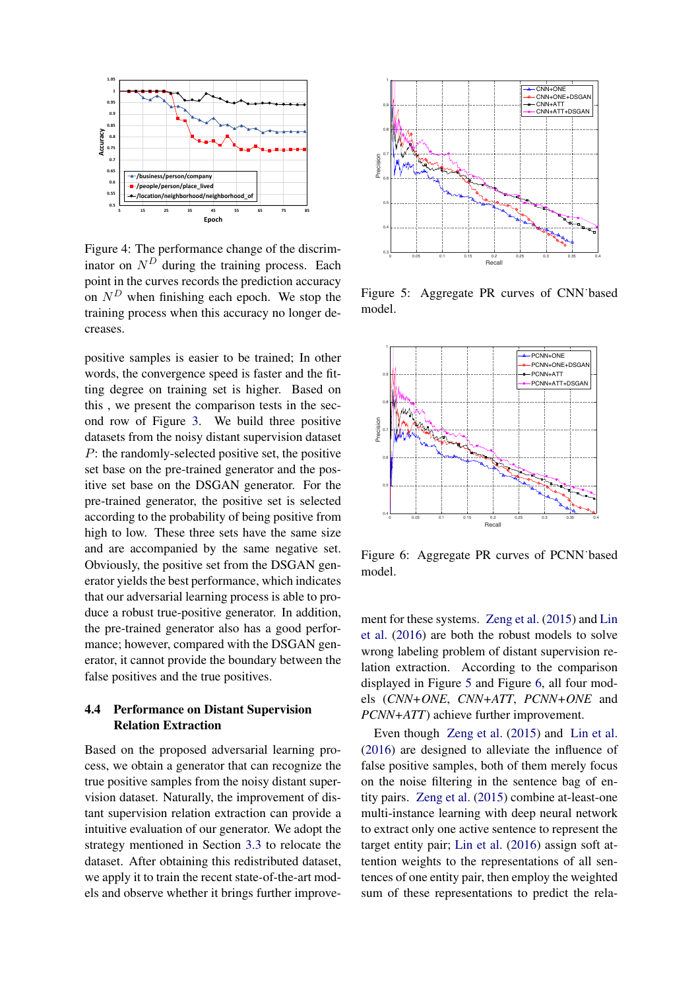

Figure 4: The performance change of the discriminator on  $N<sup>D</sup>$  during the training process. Each point in the curves records the prediction accuracy on  $N<sup>D</sup>$  when finishing each epoch. We stop the training process when this accuracy no longer decreases.

positive samples is easier to be trained; In other words, the convergence speed is faster and the fitting degree on training set is higher. Based on this , we present the comparison tests in the second row of Figure [3.](#page-6-0) We build three positive datasets from the noisy distant supervision dataset P: the randomly-selected positive set, the positive set base on the pre-trained generator and the positive set base on the DSGAN generator. For the pre-trained generator, the positive set is selected according to the probability of being positive from high to low. These three sets have the same size and are accompanied by the same negative set. Obviously, the positive set from the DSGAN generator yields the best performance, which indicates that our adversarial learning process is able to produce a robust true-positive generator. In addition, the pre-trained generator also has a good performance; however, compared with the DSGAN generator, it cannot provide the boundary between the false positives and the true positives.

# 4.4 Performance on Distant Supervision Relation Extraction

Based on the proposed adversarial learning process, we obtain a generator that can recognize the true positive samples from the noisy distant supervision dataset. Naturally, the improvement of distant supervision relation extraction can provide a intuitive evaluation of our generator. We adopt the strategy mentioned in Section [3.3](#page-5-4) to relocate the dataset. After obtaining this redistributed dataset, we apply it to train the recent state-of-the-art models and observe whether it brings further improve-



<span id="page-7-1"></span><span id="page-7-0"></span>Figure 5: Aggregate PR curves of CNN˙based model.



<span id="page-7-2"></span>Figure 6: Aggregate PR curves of PCNN˙based model.

ment for these systems. [Zeng et al.](#page-9-5) [\(2015\)](#page-9-5) and [Lin](#page-8-3) [et al.](#page-8-3) [\(2016\)](#page-8-3) are both the robust models to solve wrong labeling problem of distant supervision relation extraction. According to the comparison displayed in Figure [5](#page-7-1) and Figure [6,](#page-7-2) all four models (*CNN+ONE*, *CNN+ATT*, *PCNN+ONE* and *PCNN+ATT*) achieve further improvement.

Even though [Zeng et al.](#page-9-5) [\(2015\)](#page-9-5) and [Lin et al.](#page-8-3) [\(2016\)](#page-8-3) are designed to alleviate the influence of false positive samples, both of them merely focus on the noise filtering in the sentence bag of entity pairs. [Zeng et al.](#page-9-5) [\(2015\)](#page-9-5) combine at-least-one multi-instance learning with deep neural network to extract only one active sentence to represent the target entity pair; [Lin et al.](#page-8-3) [\(2016\)](#page-8-3) assign soft attention weights to the representations of all sentences of one entity pair, then employ the weighted sum of these representations to predict the rela-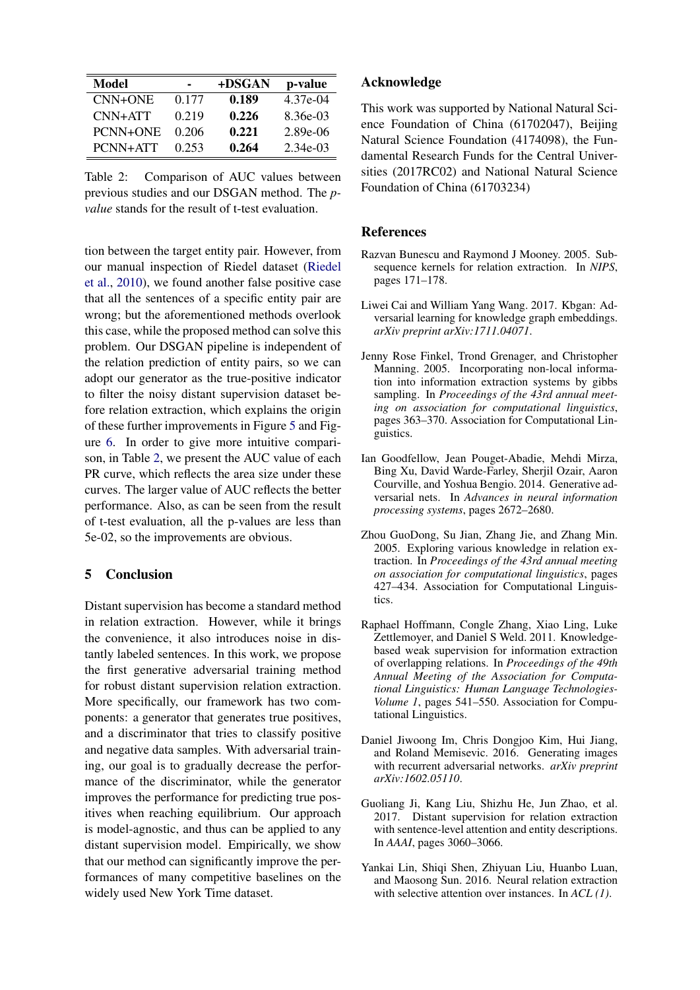| Model     |       | +DSGAN | p-value    |
|-----------|-------|--------|------------|
| $CNN+ONE$ | 0.177 | 0.189  | 4.37e-04   |
| $CNN+ATT$ | 0.219 | 0.226  | $8.36e-03$ |
| PCNN+ONE  | 0.206 | 0.221  | $2.89e-06$ |
| PCNN+ATT  | 0.253 | 0.264  | $2.34e-03$ |

Table 2: Comparison of AUC values between previous studies and our DSGAN method. The *pvalue* stands for the result of t-test evaluation.

tion between the target entity pair. However, from our manual inspection of Riedel dataset [\(Riedel](#page-9-7) [et al.,](#page-9-7) [2010\)](#page-9-7), we found another false positive case that all the sentences of a specific entity pair are wrong; but the aforementioned methods overlook this case, while the proposed method can solve this problem. Our DSGAN pipeline is independent of the relation prediction of entity pairs, so we can adopt our generator as the true-positive indicator to filter the noisy distant supervision dataset before relation extraction, which explains the origin of these further improvements in Figure [5](#page-7-1) and Figure [6.](#page-7-2) In order to give more intuitive comparison, in Table [2,](#page-8-10) we present the AUC value of each PR curve, which reflects the area size under these curves. The larger value of AUC reflects the better performance. Also, as can be seen from the result of t-test evaluation, all the p-values are less than 5e-02, so the improvements are obvious.

# <span id="page-8-5"></span>5 Conclusion

Distant supervision has become a standard method in relation extraction. However, while it brings the convenience, it also introduces noise in distantly labeled sentences. In this work, we propose the first generative adversarial training method for robust distant supervision relation extraction. More specifically, our framework has two components: a generator that generates true positives, and a discriminator that tries to classify positive and negative data samples. With adversarial training, our goal is to gradually decrease the performance of the discriminator, while the generator improves the performance for predicting true positives when reaching equilibrium. Our approach is model-agnostic, and thus can be applied to any distant supervision model. Empirically, we show that our method can significantly improve the performances of many competitive baselines on the widely used New York Time dataset.

# Acknowledge

<span id="page-8-10"></span>This work was supported by National Natural Science Foundation of China (61702047), Beijing Natural Science Foundation (4174098), the Fundamental Research Funds for the Central Universities (2017RC02) and National Natural Science Foundation of China (61703234)

# **References**

- <span id="page-8-0"></span>Razvan Bunescu and Raymond J Mooney. 2005. Subsequence kernels for relation extraction. In *NIPS*, pages 171–178.
- <span id="page-8-7"></span>Liwei Cai and William Yang Wang. 2017. Kbgan: Adversarial learning for knowledge graph embeddings. *arXiv preprint arXiv:1711.04071*.
- <span id="page-8-9"></span>Jenny Rose Finkel, Trond Grenager, and Christopher Manning. 2005. Incorporating non-local information into information extraction systems by gibbs sampling. In *Proceedings of the 43rd annual meeting on association for computational linguistics*, pages 363–370. Association for Computational Linguistics.
- <span id="page-8-4"></span>Ian Goodfellow, Jean Pouget-Abadie, Mehdi Mirza, Bing Xu, David Warde-Farley, Sherjil Ozair, Aaron Courville, and Yoshua Bengio. 2014. Generative adversarial nets. In *Advances in neural information processing systems*, pages 2672–2680.
- <span id="page-8-1"></span>Zhou GuoDong, Su Jian, Zhang Jie, and Zhang Min. 2005. Exploring various knowledge in relation extraction. In *Proceedings of the 43rd annual meeting on association for computational linguistics*, pages 427–434. Association for Computational Linguistics.
- <span id="page-8-2"></span>Raphael Hoffmann, Congle Zhang, Xiao Ling, Luke Zettlemoyer, and Daniel S Weld. 2011. Knowledgebased weak supervision for information extraction of overlapping relations. In *Proceedings of the 49th Annual Meeting of the Association for Computational Linguistics: Human Language Technologies-Volume 1*, pages 541–550. Association for Computational Linguistics.
- <span id="page-8-8"></span>Daniel Jiwoong Im, Chris Dongjoo Kim, Hui Jiang, and Roland Memisevic. 2016. Generating images with recurrent adversarial networks. *arXiv preprint arXiv:1602.05110*.
- <span id="page-8-6"></span>Guoliang Ji, Kang Liu, Shizhu He, Jun Zhao, et al. 2017. Distant supervision for relation extraction with sentence-level attention and entity descriptions. In *AAAI*, pages 3060–3066.
- <span id="page-8-3"></span>Yankai Lin, Shiqi Shen, Zhiyuan Liu, Huanbo Luan, and Maosong Sun. 2016. Neural relation extraction with selective attention over instances. In *ACL (1)*.